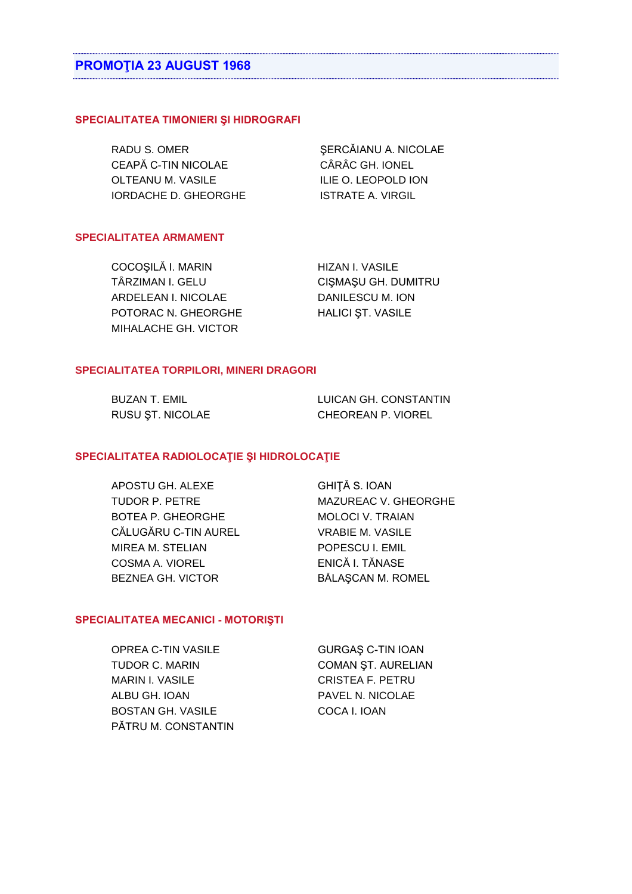### SPECIALITATEA TIMONIERI ȘI HIDROGRAFI

RADU S. OMER CEAPĂ C-TIN NICOLAE OLTEANU M. VASILE **IORDACHE D. GHEORGHE** 

ŞERCĂIANU A. NICOLAE CÂRÂC GH. IONEL ILIE O. LEOPOLD ION **ISTRATE A. VIRGIL** 

## **SPECIALITATEA ARMAMENT**

COCOȘILĂ I. MARIN TÂRZIMAN I. GELU ARDELEAN I. NICOLAE POTORAC N. GHEORGHE MIHALACHE GH. VICTOR

**HIZAN I. VASILE** CIŞMAŞU GH. DUMITRU **DANILESCU M. ION HALICI ST. VASILE** 

# SPECIALITATEA TORPILORI, MINERI DRAGORI

| BUZAN T. EMIL    | LUICAN GH. CONSTANTIN |
|------------------|-----------------------|
| RUSU ȘT. NICOLAE | CHEOREAN P. VIOREL    |

#### SPECIALITATEA RADIOLOCAȚIE ȘI HIDROLOCAȚIE

APOSTU GH, ALEXE **TUDOR P. PETRE BOTEA P. GHEORGHE** CĂLUGĂRU C-TIN AUREL MIREA M. STELIAN COSMA A. VIOREL BEZNEA GH, VICTOR

**GHITĂ S. IOAN** MAZUREAC V. GHEORGHE MOLOCI V. TRAIAN **VRABIE M. VASILE** POPESCU I. EMIL ENICĂ I. TĂNASE **BĂLASCAN M. ROMEL** 

## SPECIALITATEA MECANICI - MOTORIȘTI

**OPREA C-TIN VASILE** TUDOR C. MARIN **MARIN I. VASILE** ALBU GH. IOAN **BOSTAN GH. VASILE** PĂTRU M. CONSTANTIN

GURGAŞ C-TIN IOAN COMAN ȘT. AURELIAN **CRISTEA F. PETRU** PAVEL N. NICOLAE COCA I. IOAN